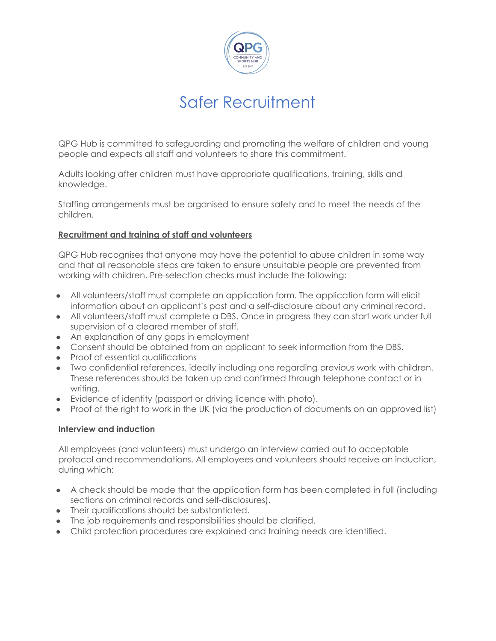

# Safer Recruitment

QPG Hub is committed to safeguarding and promoting the welfare of children and young people and expects all staff and volunteers to share this commitment.

Adults looking after children must have appropriate qualifications, training, skills and knowledge.

Staffing arrangements must be organised to ensure safety and to meet the needs of the children.

### **Recruitment and training of staff and volunteers**

QPG Hub recognises that anyone may have the potential to abuse children in some way and that all reasonable steps are taken to ensure unsuitable people are prevented from working with children. Pre-selection checks must include the following:

- All volunteers/staff must complete an application form. The application form will elicit information about an applicant's past and a self-disclosure about any criminal record.
- All volunteers/staff must complete a DBS. Once in progress they can start work under full supervision of a cleared member of staff.
- An explanation of any gaps in employment
- Consent should be obtained from an applicant to seek information from the DBS.
- Proof of essential qualifications
- Two confidential references, ideally including one regarding previous work with children. These references should be taken up and confirmed through telephone contact or in writing.
- Evidence of identity (passport or driving licence with photo).
- Proof of the right to work in the UK (via the production of documents on an approved list)

### **Interview and induction**

All employees (and volunteers) must undergo an interview carried out to acceptable protocol and recommendations. All employees and volunteers should receive an induction, during which:

- A check should be made that the application form has been completed in full (including sections on criminal records and self-disclosures).
- Their qualifications should be substantiated.
- The job requirements and responsibilities should be clarified.
- Child protection procedures are explained and training needs are identified.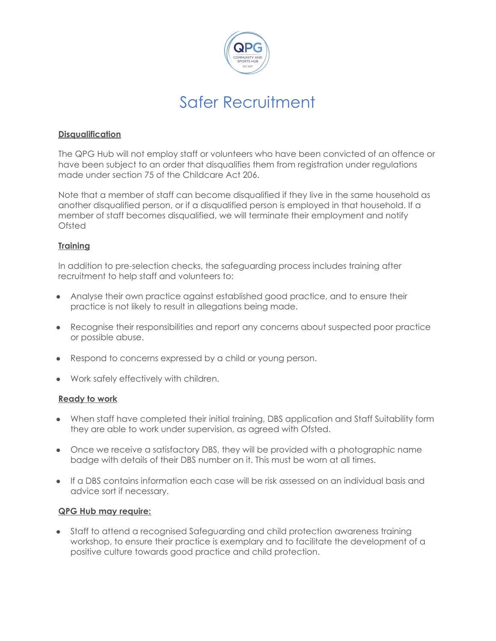

## Safer Recruitment

#### **Disqualification**

The QPG Hub will not employ staff or volunteers who have been convicted of an offence or have been subject to an order that disqualifies them from registration under regulations made under section 75 of the Childcare Act 206.

Note that a member of staff can become disqualified if they live in the same household as another disqualified person, or if a disqualified person is employed in that household. If a member of staff becomes disqualified, we will terminate their employment and notify Ofsted

### **Training**

In addition to pre-selection checks, the safeguarding process includes training after recruitment to help staff and volunteers to:

- Analyse their own practice against established good practice, and to ensure their practice is not likely to result in allegations being made.
- Recognise their responsibilities and report any concerns about suspected poor practice or possible abuse.
- Respond to concerns expressed by a child or young person.
- Work safely effectively with children.

#### **Ready to work**

- When staff have completed their initial training, DBS application and Staff Suitability form they are able to work under supervision, as agreed with Ofsted.
- Once we receive a satisfactory DBS, they will be provided with a photographic name badge with details of their DBS number on it. This must be worn at all times.
- If a DBS contains information each case will be risk assessed on an individual basis and advice sort if necessary.

#### **QPG Hub may require:**

• Staff to attend a recognised Safeguarding and child protection awareness training workshop, to ensure their practice is exemplary and to facilitate the development of a positive culture towards good practice and child protection.